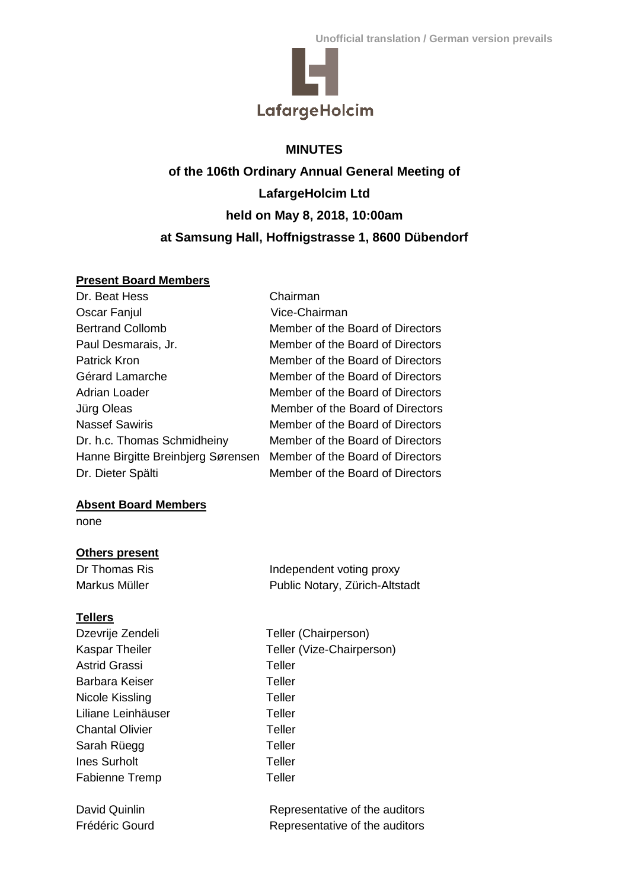

# **MINUTES**

**of the 106th Ordinary Annual General Meeting of LafargeHolcim Ltd held on May 8, 2018, 10:00am at Samsung Hall, Hoffnigstrasse 1, 8600 Dübendorf**

## **Present Board Members**

| Dr. Beat Hess                      | Chairman                         |
|------------------------------------|----------------------------------|
| Oscar Fanjul                       | Vice-Chairman                    |
| <b>Bertrand Collomb</b>            | Member of the Board of Directors |
| Paul Desmarais, Jr.                | Member of the Board of Directors |
| <b>Patrick Kron</b>                | Member of the Board of Directors |
| Gérard Lamarche                    | Member of the Board of Directors |
| <b>Adrian Loader</b>               | Member of the Board of Directors |
| Jürg Oleas                         | Member of the Board of Directors |
| <b>Nassef Sawiris</b>              | Member of the Board of Directors |
| Dr. h.c. Thomas Schmidheiny        | Member of the Board of Directors |
| Hanne Birgitte Breinbjerg Sørensen | Member of the Board of Directors |
| Dr. Dieter Spälti                  | Member of the Board of Directors |
|                                    |                                  |

## **Absent Board Members**

none

## **Others present**

Dr Thomas Ris **Independent voting proxy** Markus Müller **Public Notary, Zürich-Altstadt** 

## **Tellers**

| Dzevrije Zendeli       | Teller (Chairperson)           |
|------------------------|--------------------------------|
| Kaspar Theiler         | Teller (Vize-Chairperson)      |
| Astrid Grassi          | Teller                         |
| Barbara Keiser         | Teller                         |
| Nicole Kissling        | Teller                         |
| Liliane Leinhäuser     | Teller                         |
| <b>Chantal Olivier</b> | Teller                         |
| Sarah Rüegg            | Teller                         |
| <b>Ines Surholt</b>    | Teller                         |
| <b>Fabienne Tremp</b>  | Teller                         |
|                        |                                |
| David Quinlin          | Representative of the auditors |

Frédéric Gourd **Representative of the auditors**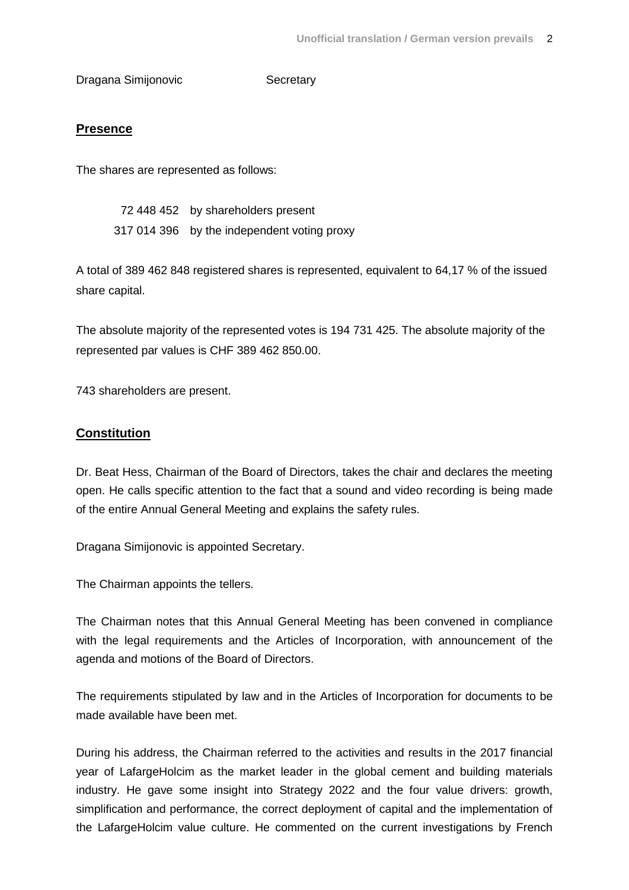Dragana Simijonovic Secretary

## **Presence**

The shares are represented as follows:

 72 448 452 by shareholders present 317 014 396 by the independent voting proxy

A total of 389 462 848 registered shares is represented, equivalent to 64,17 % of the issued share capital.

The absolute majority of the represented votes is 194 731 425. The absolute majority of the represented par values is CHF 389 462 850.00.

743 shareholders are present.

## **Constitution**

Dr. Beat Hess, Chairman of the Board of Directors, takes the chair and declares the meeting open. He calls specific attention to the fact that a sound and video recording is being made of the entire Annual General Meeting and explains the safety rules.

Dragana Simijonovic is appointed Secretary.

The Chairman appoints the tellers.

The Chairman notes that this Annual General Meeting has been convened in compliance with the legal requirements and the Articles of Incorporation, with announcement of the agenda and motions of the Board of Directors.

The requirements stipulated by law and in the Articles of Incorporation for documents to be made available have been met.

During his address, the Chairman referred to the activities and results in the 2017 financial year of LafargeHolcim as the market leader in the global cement and building materials industry. He gave some insight into Strategy 2022 and the four value drivers: growth, simplification and performance, the correct deployment of capital and the implementation of the LafargeHolcim value culture. He commented on the current investigations by French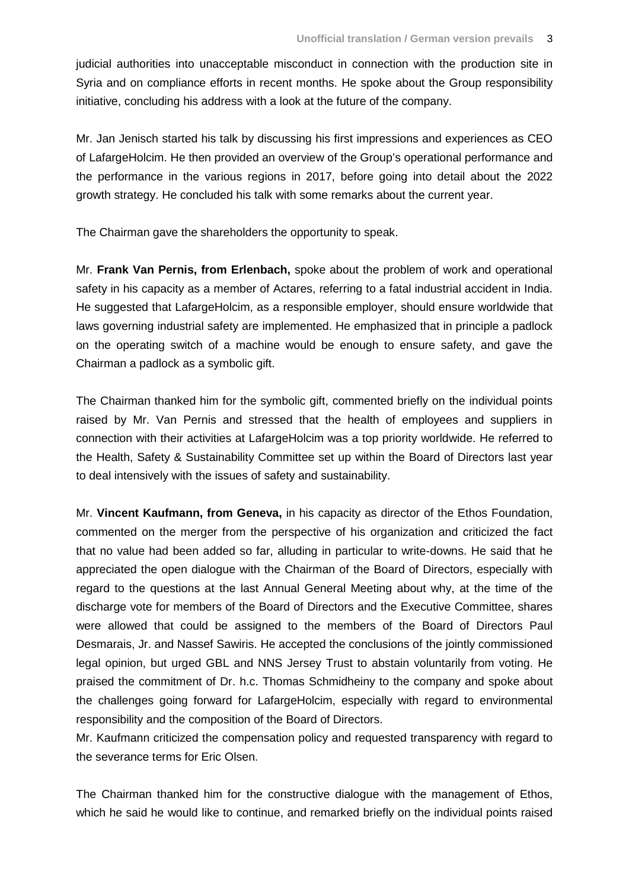judicial authorities into unacceptable misconduct in connection with the production site in Syria and on compliance efforts in recent months. He spoke about the Group responsibility initiative, concluding his address with a look at the future of the company.

Mr. Jan Jenisch started his talk by discussing his first impressions and experiences as CEO of LafargeHolcim. He then provided an overview of the Group's operational performance and the performance in the various regions in 2017, before going into detail about the 2022 growth strategy. He concluded his talk with some remarks about the current year.

The Chairman gave the shareholders the opportunity to speak.

Mr. **Frank Van Pernis, from Erlenbach,** spoke about the problem of work and operational safety in his capacity as a member of Actares, referring to a fatal industrial accident in India. He suggested that LafargeHolcim, as a responsible employer, should ensure worldwide that laws governing industrial safety are implemented. He emphasized that in principle a padlock on the operating switch of a machine would be enough to ensure safety, and gave the Chairman a padlock as a symbolic gift.

The Chairman thanked him for the symbolic gift, commented briefly on the individual points raised by Mr. Van Pernis and stressed that the health of employees and suppliers in connection with their activities at LafargeHolcim was a top priority worldwide. He referred to the Health, Safety & Sustainability Committee set up within the Board of Directors last year to deal intensively with the issues of safety and sustainability.

Mr. **Vincent Kaufmann, from Geneva,** in his capacity as director of the Ethos Foundation, commented on the merger from the perspective of his organization and criticized the fact that no value had been added so far, alluding in particular to write-downs. He said that he appreciated the open dialogue with the Chairman of the Board of Directors, especially with regard to the questions at the last Annual General Meeting about why, at the time of the discharge vote for members of the Board of Directors and the Executive Committee, shares were allowed that could be assigned to the members of the Board of Directors Paul Desmarais, Jr. and Nassef Sawiris. He accepted the conclusions of the jointly commissioned legal opinion, but urged GBL and NNS Jersey Trust to abstain voluntarily from voting. He praised the commitment of Dr. h.c. Thomas Schmidheiny to the company and spoke about the challenges going forward for LafargeHolcim, especially with regard to environmental responsibility and the composition of the Board of Directors.

Mr. Kaufmann criticized the compensation policy and requested transparency with regard to the severance terms for Eric Olsen.

The Chairman thanked him for the constructive dialogue with the management of Ethos, which he said he would like to continue, and remarked briefly on the individual points raised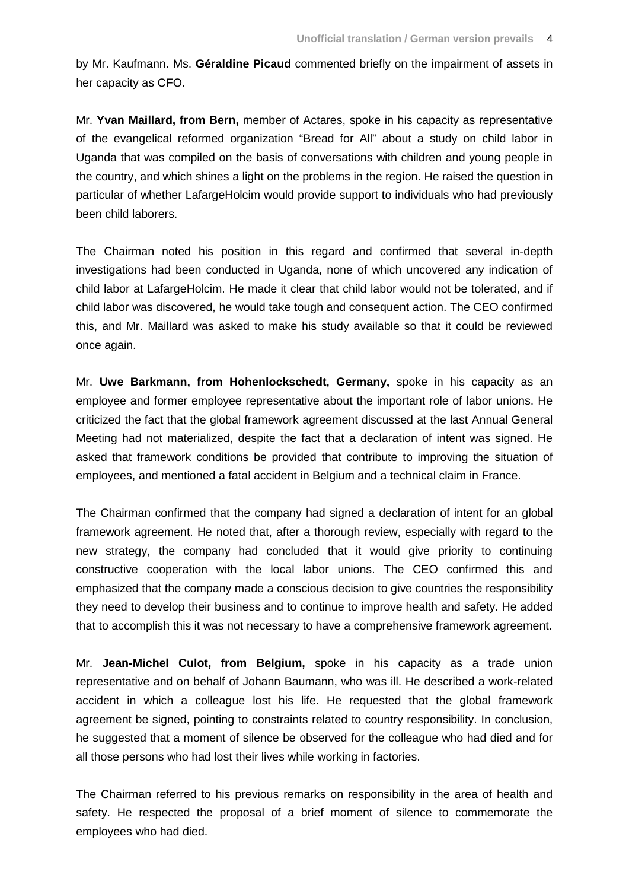by Mr. Kaufmann. Ms. **Géraldine Picaud** commented briefly on the impairment of assets in her capacity as CFO.

Mr. **Yvan Maillard, from Bern,** member of Actares, spoke in his capacity as representative of the evangelical reformed organization "Bread for All" about a study on child labor in Uganda that was compiled on the basis of conversations with children and young people in the country, and which shines a light on the problems in the region. He raised the question in particular of whether LafargeHolcim would provide support to individuals who had previously been child laborers.

The Chairman noted his position in this regard and confirmed that several in-depth investigations had been conducted in Uganda, none of which uncovered any indication of child labor at LafargeHolcim. He made it clear that child labor would not be tolerated, and if child labor was discovered, he would take tough and consequent action. The CEO confirmed this, and Mr. Maillard was asked to make his study available so that it could be reviewed once again.

Mr. **Uwe Barkmann, from Hohenlockschedt, Germany,** spoke in his capacity as an employee and former employee representative about the important role of labor unions. He criticized the fact that the global framework agreement discussed at the last Annual General Meeting had not materialized, despite the fact that a declaration of intent was signed. He asked that framework conditions be provided that contribute to improving the situation of employees, and mentioned a fatal accident in Belgium and a technical claim in France.

The Chairman confirmed that the company had signed a declaration of intent for an global framework agreement. He noted that, after a thorough review, especially with regard to the new strategy, the company had concluded that it would give priority to continuing constructive cooperation with the local labor unions. The CEO confirmed this and emphasized that the company made a conscious decision to give countries the responsibility they need to develop their business and to continue to improve health and safety. He added that to accomplish this it was not necessary to have a comprehensive framework agreement.

Mr. **Jean-Michel Culot, from Belgium,** spoke in his capacity as a trade union representative and on behalf of Johann Baumann, who was ill. He described a work-related accident in which a colleague lost his life. He requested that the global framework agreement be signed, pointing to constraints related to country responsibility. In conclusion, he suggested that a moment of silence be observed for the colleague who had died and for all those persons who had lost their lives while working in factories.

The Chairman referred to his previous remarks on responsibility in the area of health and safety. He respected the proposal of a brief moment of silence to commemorate the employees who had died.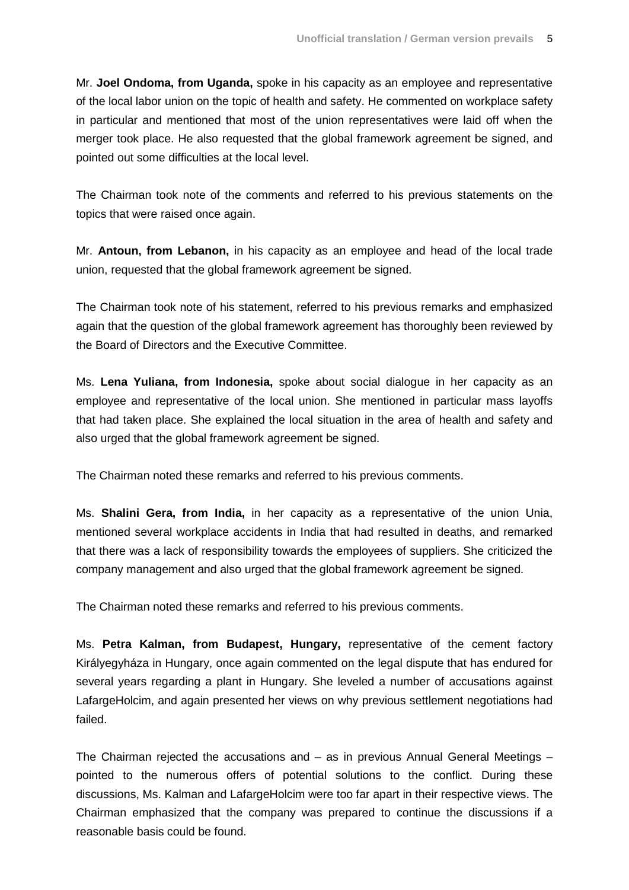Mr. **Joel Ondoma, from Uganda,** spoke in his capacity as an employee and representative of the local labor union on the topic of health and safety. He commented on workplace safety in particular and mentioned that most of the union representatives were laid off when the merger took place. He also requested that the global framework agreement be signed, and pointed out some difficulties at the local level.

The Chairman took note of the comments and referred to his previous statements on the topics that were raised once again.

Mr. **Antoun, from Lebanon,** in his capacity as an employee and head of the local trade union, requested that the global framework agreement be signed.

The Chairman took note of his statement, referred to his previous remarks and emphasized again that the question of the global framework agreement has thoroughly been reviewed by the Board of Directors and the Executive Committee.

Ms. **Lena Yuliana, from Indonesia,** spoke about social dialogue in her capacity as an employee and representative of the local union. She mentioned in particular mass layoffs that had taken place. She explained the local situation in the area of health and safety and also urged that the global framework agreement be signed.

The Chairman noted these remarks and referred to his previous comments.

Ms. **Shalini Gera, from India,** in her capacity as a representative of the union Unia, mentioned several workplace accidents in India that had resulted in deaths, and remarked that there was a lack of responsibility towards the employees of suppliers. She criticized the company management and also urged that the global framework agreement be signed.

The Chairman noted these remarks and referred to his previous comments.

Ms. **Petra Kalman, from Budapest, Hungary,** representative of the cement factory Királyegyháza in Hungary, once again commented on the legal dispute that has endured for several years regarding a plant in Hungary. She leveled a number of accusations against LafargeHolcim, and again presented her views on why previous settlement negotiations had failed.

The Chairman rejected the accusations and – as in previous Annual General Meetings – pointed to the numerous offers of potential solutions to the conflict. During these discussions, Ms. Kalman and LafargeHolcim were too far apart in their respective views. The Chairman emphasized that the company was prepared to continue the discussions if a reasonable basis could be found.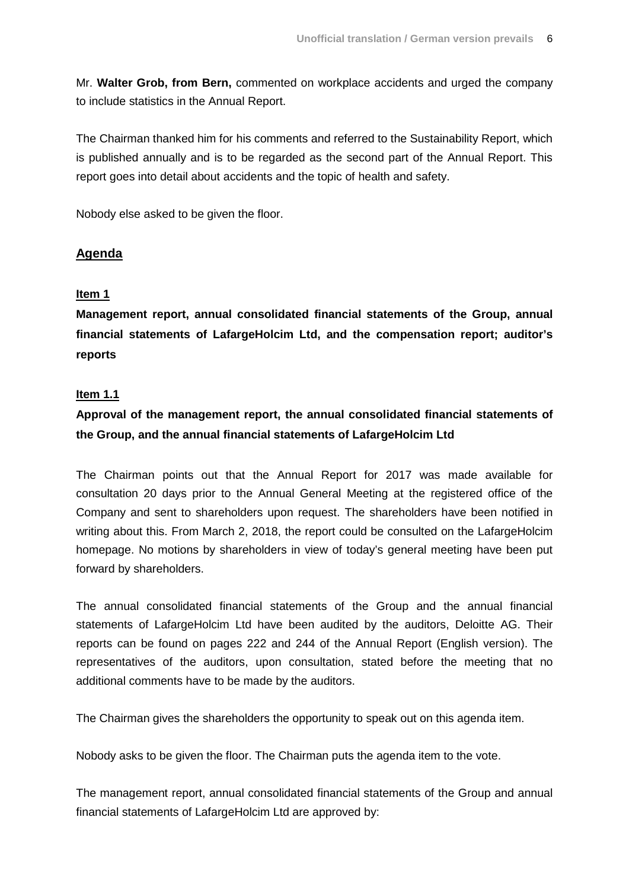Mr. **Walter Grob, from Bern,** commented on workplace accidents and urged the company to include statistics in the Annual Report.

The Chairman thanked him for his comments and referred to the Sustainability Report, which is published annually and is to be regarded as the second part of the Annual Report. This report goes into detail about accidents and the topic of health and safety.

Nobody else asked to be given the floor.

## **Agenda**

### **Item 1**

**Management report, annual consolidated financial statements of the Group, annual financial statements of LafargeHolcim Ltd, and the compensation report; auditor's reports**

#### **Item 1.1**

# **Approval of the management report, the annual consolidated financial statements of the Group, and the annual financial statements of LafargeHolcim Ltd**

The Chairman points out that the Annual Report for 2017 was made available for consultation 20 days prior to the Annual General Meeting at the registered office of the Company and sent to shareholders upon request. The shareholders have been notified in writing about this. From March 2, 2018, the report could be consulted on the LafargeHolcim homepage. No motions by shareholders in view of today's general meeting have been put forward by shareholders.

The annual consolidated financial statements of the Group and the annual financial statements of LafargeHolcim Ltd have been audited by the auditors, Deloitte AG. Their reports can be found on pages 222 and 244 of the Annual Report (English version). The representatives of the auditors, upon consultation, stated before the meeting that no additional comments have to be made by the auditors.

The Chairman gives the shareholders the opportunity to speak out on this agenda item.

Nobody asks to be given the floor. The Chairman puts the agenda item to the vote.

The management report, annual consolidated financial statements of the Group and annual financial statements of LafargeHolcim Ltd are approved by: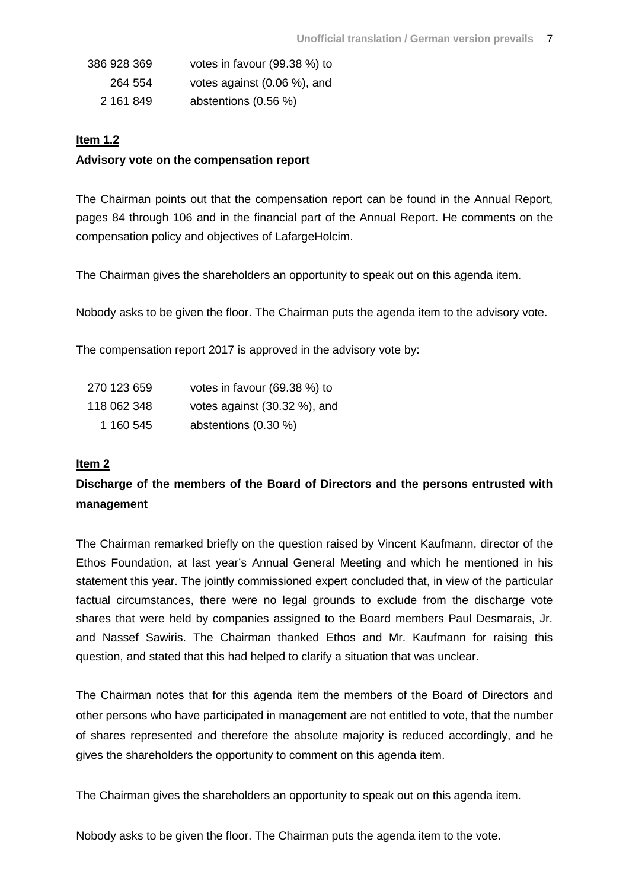| 386 928 369 | votes in favour (99.38 %) to |
|-------------|------------------------------|
| 264 554     | votes against (0.06 %), and  |
| 2 161 849   | abstentions (0.56 %)         |

### **Item 1.2**

### **Advisory vote on the compensation report**

The Chairman points out that the compensation report can be found in the Annual Report, pages 84 through 106 and in the financial part of the Annual Report. He comments on the compensation policy and objectives of LafargeHolcim.

The Chairman gives the shareholders an opportunity to speak out on this agenda item.

Nobody asks to be given the floor. The Chairman puts the agenda item to the advisory vote.

The compensation report 2017 is approved in the advisory vote by:

| 270 123 659 | votes in favour (69.38 %) to |
|-------------|------------------------------|
| 118 062 348 | votes against (30.32 %), and |
| 1 160 545   | abstentions (0.30 %)         |

### **Item 2**

# **Discharge of the members of the Board of Directors and the persons entrusted with management**

The Chairman remarked briefly on the question raised by Vincent Kaufmann, director of the Ethos Foundation, at last year's Annual General Meeting and which he mentioned in his statement this year. The jointly commissioned expert concluded that, in view of the particular factual circumstances, there were no legal grounds to exclude from the discharge vote shares that were held by companies assigned to the Board members Paul Desmarais, Jr. and Nassef Sawiris. The Chairman thanked Ethos and Mr. Kaufmann for raising this question, and stated that this had helped to clarify a situation that was unclear.

The Chairman notes that for this agenda item the members of the Board of Directors and other persons who have participated in management are not entitled to vote, that the number of shares represented and therefore the absolute majority is reduced accordingly, and he gives the shareholders the opportunity to comment on this agenda item.

The Chairman gives the shareholders an opportunity to speak out on this agenda item.

Nobody asks to be given the floor. The Chairman puts the agenda item to the vote.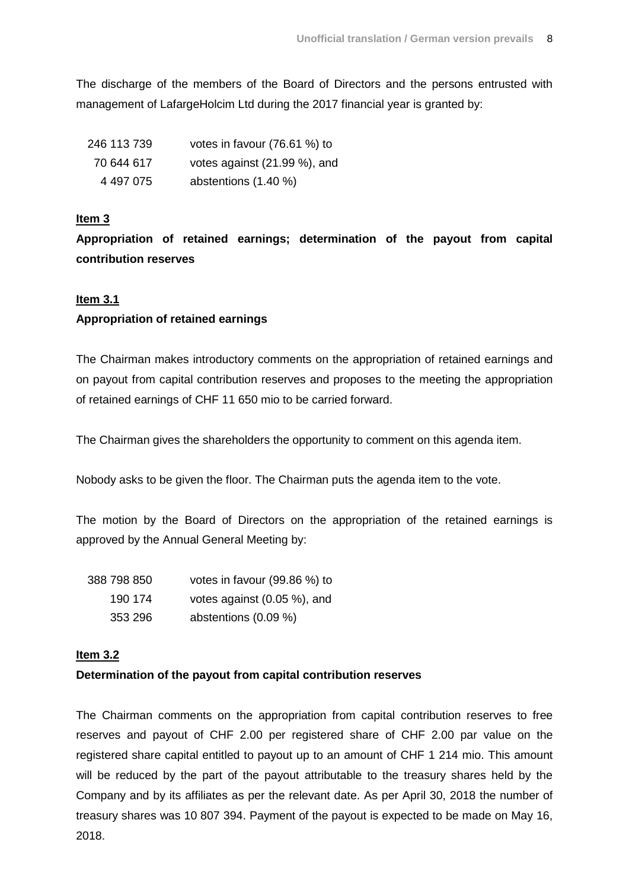The discharge of the members of the Board of Directors and the persons entrusted with management of LafargeHolcim Ltd during the 2017 financial year is granted by:

| 246 113 739 | votes in favour (76.61 %) to |
|-------------|------------------------------|
| 70 644 617  | votes against (21.99 %), and |
| 4 497 075   | abstentions (1.40 %)         |

### **Item 3**

**Appropriation of retained earnings; determination of the payout from capital contribution reserves**

#### **Item 3.1**

#### **Appropriation of retained earnings**

The Chairman makes introductory comments on the appropriation of retained earnings and on payout from capital contribution reserves and proposes to the meeting the appropriation of retained earnings of CHF 11 650 mio to be carried forward.

The Chairman gives the shareholders the opportunity to comment on this agenda item.

Nobody asks to be given the floor. The Chairman puts the agenda item to the vote.

The motion by the Board of Directors on the appropriation of the retained earnings is approved by the Annual General Meeting by:

| 388 798 850 | votes in favour (99.86 %) to   |
|-------------|--------------------------------|
| 190 174     | votes against $(0.05\%)$ , and |
| 353 296     | abstentions (0.09 %)           |

#### **Item 3.2**

#### **Determination of the payout from capital contribution reserves**

The Chairman comments on the appropriation from capital contribution reserves to free reserves and payout of CHF 2.00 per registered share of CHF 2.00 par value on the registered share capital entitled to payout up to an amount of CHF 1 214 mio. This amount will be reduced by the part of the payout attributable to the treasury shares held by the Company and by its affiliates as per the relevant date. As per April 30, 2018 the number of treasury shares was 10 807 394. Payment of the payout is expected to be made on May 16, 2018.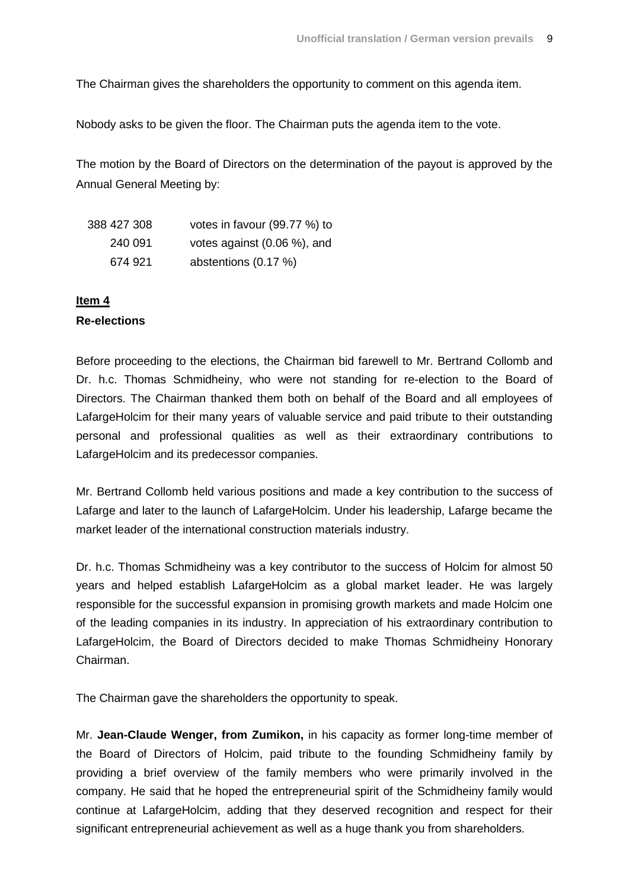The Chairman gives the shareholders the opportunity to comment on this agenda item.

Nobody asks to be given the floor. The Chairman puts the agenda item to the vote.

The motion by the Board of Directors on the determination of the payout is approved by the Annual General Meeting by:

| 388 427 308 | votes in favour (99.77 %) to |
|-------------|------------------------------|
| 240 091     | votes against (0.06 %), and  |
| 674 921     | abstentions $(0.17 \%)$      |

#### **Item 4**

### **Re-elections**

Before proceeding to the elections, the Chairman bid farewell to Mr. Bertrand Collomb and Dr. h.c. Thomas Schmidheiny, who were not standing for re-election to the Board of Directors. The Chairman thanked them both on behalf of the Board and all employees of LafargeHolcim for their many years of valuable service and paid tribute to their outstanding personal and professional qualities as well as their extraordinary contributions to LafargeHolcim and its predecessor companies.

Mr. Bertrand Collomb held various positions and made a key contribution to the success of Lafarge and later to the launch of LafargeHolcim. Under his leadership, Lafarge became the market leader of the international construction materials industry.

Dr. h.c. Thomas Schmidheiny was a key contributor to the success of Holcim for almost 50 years and helped establish LafargeHolcim as a global market leader. He was largely responsible for the successful expansion in promising growth markets and made Holcim one of the leading companies in its industry. In appreciation of his extraordinary contribution to LafargeHolcim, the Board of Directors decided to make Thomas Schmidheiny Honorary Chairman.

The Chairman gave the shareholders the opportunity to speak.

Mr. **Jean-Claude Wenger, from Zumikon,** in his capacity as former long-time member of the Board of Directors of Holcim, paid tribute to the founding Schmidheiny family by providing a brief overview of the family members who were primarily involved in the company. He said that he hoped the entrepreneurial spirit of the Schmidheiny family would continue at LafargeHolcim, adding that they deserved recognition and respect for their significant entrepreneurial achievement as well as a huge thank you from shareholders.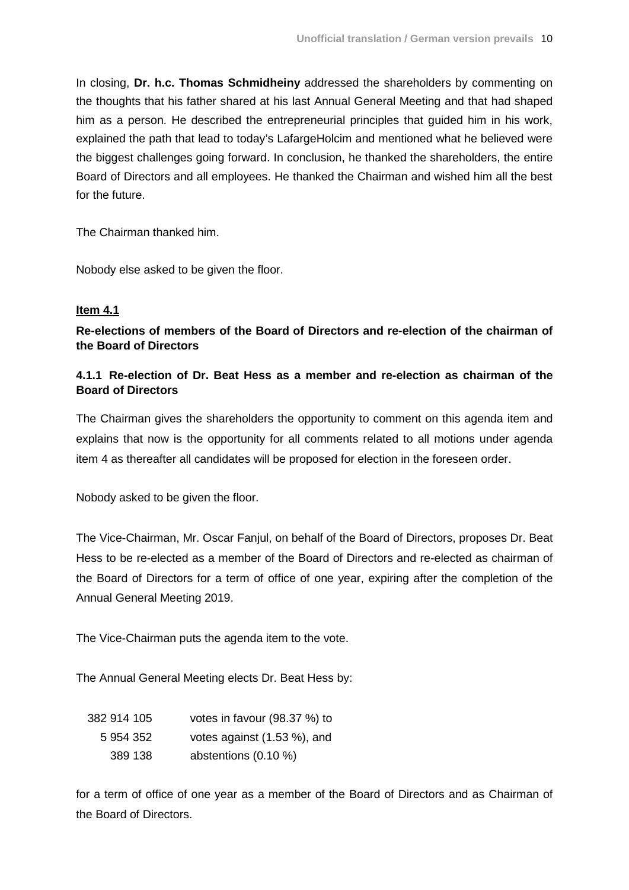In closing, **Dr. h.c. Thomas Schmidheiny** addressed the shareholders by commenting on the thoughts that his father shared at his last Annual General Meeting and that had shaped him as a person. He described the entrepreneurial principles that guided him in his work, explained the path that lead to today's LafargeHolcim and mentioned what he believed were the biggest challenges going forward. In conclusion, he thanked the shareholders, the entire Board of Directors and all employees. He thanked the Chairman and wished him all the best for the future.

The Chairman thanked him.

Nobody else asked to be given the floor.

#### **Item 4.1**

**Re-elections of members of the Board of Directors and re-election of the chairman of the Board of Directors**

## **4.1.1 Re-election of Dr. Beat Hess as a member and re-election as chairman of the Board of Directors**

The Chairman gives the shareholders the opportunity to comment on this agenda item and explains that now is the opportunity for all comments related to all motions under agenda item 4 as thereafter all candidates will be proposed for election in the foreseen order.

Nobody asked to be given the floor.

The Vice-Chairman, Mr. Oscar Fanjul, on behalf of the Board of Directors, proposes Dr. Beat Hess to be re-elected as a member of the Board of Directors and re-elected as chairman of the Board of Directors for a term of office of one year, expiring after the completion of the Annual General Meeting 2019.

The Vice-Chairman puts the agenda item to the vote.

The Annual General Meeting elects Dr. Beat Hess by:

| 382 914 105 | votes in favour (98.37 %) to |
|-------------|------------------------------|
| 5 954 352   | votes against (1.53 %), and  |
| 389 138     | abstentions $(0.10 \%)$      |

for a term of office of one year as a member of the Board of Directors and as Chairman of the Board of Directors.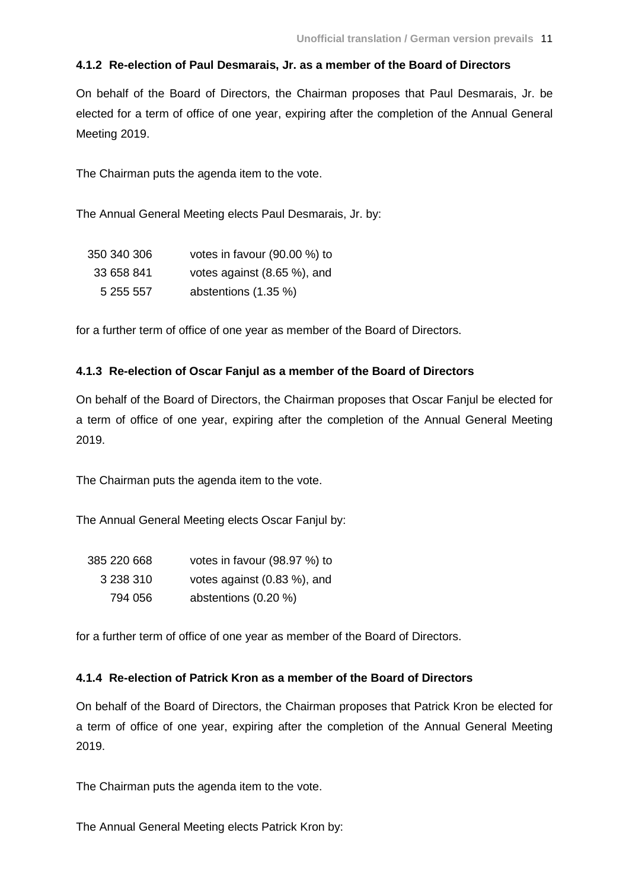### **4.1.2 Re-election of Paul Desmarais, Jr. as a member of the Board of Directors**

On behalf of the Board of Directors, the Chairman proposes that Paul Desmarais, Jr. be elected for a term of office of one year, expiring after the completion of the Annual General Meeting 2019.

The Chairman puts the agenda item to the vote.

The Annual General Meeting elects Paul Desmarais, Jr. by:

| 350 340 306 | votes in favour $(90.00\%)$ to |
|-------------|--------------------------------|
| 33 658 841  | votes against (8.65 %), and    |
| 5 255 557   | abstentions (1.35 %)           |

for a further term of office of one year as member of the Board of Directors.

#### **4.1.3 Re-election of Oscar Fanjul as a member of the Board of Directors**

On behalf of the Board of Directors, the Chairman proposes that Oscar Fanjul be elected for a term of office of one year, expiring after the completion of the Annual General Meeting 2019.

The Chairman puts the agenda item to the vote.

The Annual General Meeting elects Oscar Fanjul by:

| 385 220 668 | votes in favour (98.97 %) to |
|-------------|------------------------------|
| 3 238 310   | votes against (0.83 %), and  |
| 794 056     | abstentions (0.20 %)         |

for a further term of office of one year as member of the Board of Directors.

#### **4.1.4 Re-election of Patrick Kron as a member of the Board of Directors**

On behalf of the Board of Directors, the Chairman proposes that Patrick Kron be elected for a term of office of one year, expiring after the completion of the Annual General Meeting 2019.

The Chairman puts the agenda item to the vote.

The Annual General Meeting elects Patrick Kron by: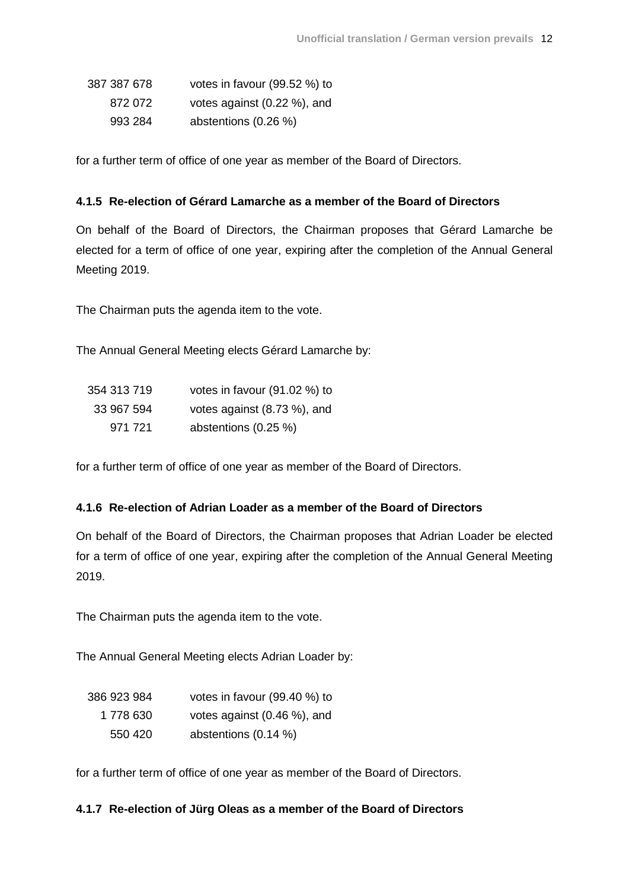| 387 387 678 | votes in favour (99.52 %) to |
|-------------|------------------------------|
| 872 072     | votes against (0.22 %), and  |
| 993 284     | abstentions (0.26 %)         |

for a further term of office of one year as member of the Board of Directors.

### **4.1.5 Re-election of Gérard Lamarche as a member of the Board of Directors**

On behalf of the Board of Directors, the Chairman proposes that Gérard Lamarche be elected for a term of office of one year, expiring after the completion of the Annual General Meeting 2019.

The Chairman puts the agenda item to the vote.

The Annual General Meeting elects Gérard Lamarche by:

| 354 313 719 | votes in favour (91.02 %) to |
|-------------|------------------------------|
| 33 967 594  | votes against (8.73 %), and  |
| 971 721     | abstentions $(0.25 \%)$      |

for a further term of office of one year as member of the Board of Directors.

### **4.1.6 Re-election of Adrian Loader as a member of the Board of Directors**

On behalf of the Board of Directors, the Chairman proposes that Adrian Loader be elected for a term of office of one year, expiring after the completion of the Annual General Meeting 2019.

The Chairman puts the agenda item to the vote.

The Annual General Meeting elects Adrian Loader by:

| 386 923 984 | votes in favour (99.40 %) to |
|-------------|------------------------------|
| 1 778 630   | votes against (0.46 %), and  |
| 550 420     | abstentions (0.14 %)         |

for a further term of office of one year as member of the Board of Directors.

### **4.1.7 Re-election of Jürg Oleas as a member of the Board of Directors**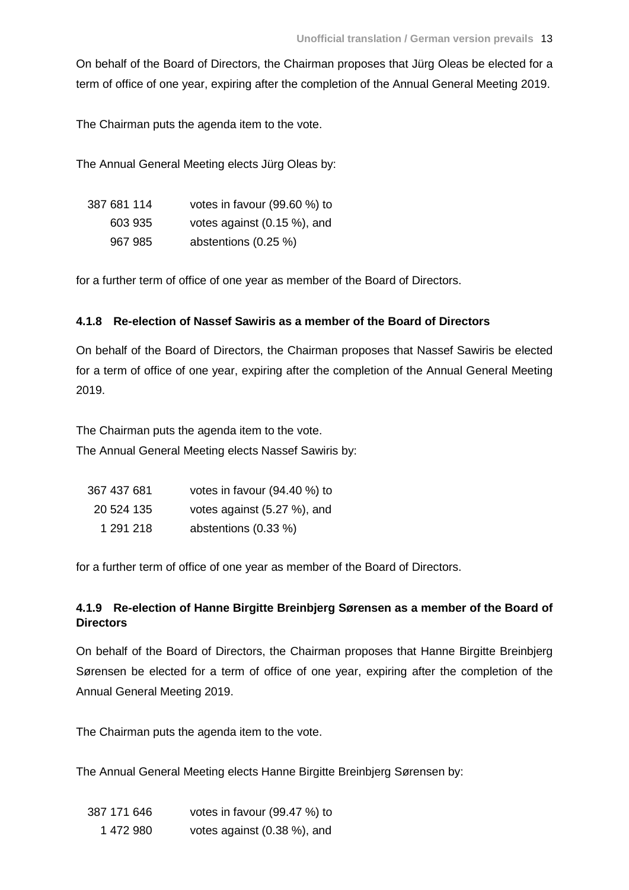On behalf of the Board of Directors, the Chairman proposes that Jürg Oleas be elected for a term of office of one year, expiring after the completion of the Annual General Meeting 2019.

The Chairman puts the agenda item to the vote.

The Annual General Meeting elects Jürg Oleas by:

| 387 681 114 | votes in favour (99.60 %) to    |
|-------------|---------------------------------|
| 603 935     | votes against $(0.15 \%)$ , and |
| 967 985     | abstentions (0.25 %)            |

for a further term of office of one year as member of the Board of Directors.

## **4.1.8 Re-election of Nassef Sawiris as a member of the Board of Directors**

On behalf of the Board of Directors, the Chairman proposes that Nassef Sawiris be elected for a term of office of one year, expiring after the completion of the Annual General Meeting 2019.

The Chairman puts the agenda item to the vote.

The Annual General Meeting elects Nassef Sawiris by:

| 367 437 681 | votes in favour (94.40 %) to |
|-------------|------------------------------|
| 20 524 135  | votes against (5.27 %), and  |
| 1 291 218   | abstentions (0.33 %)         |

for a further term of office of one year as member of the Board of Directors.

## **4.1.9 Re-election of Hanne Birgitte Breinbjerg Sørensen as a member of the Board of Directors**

On behalf of the Board of Directors, the Chairman proposes that Hanne Birgitte Breinbjerg Sørensen be elected for a term of office of one year, expiring after the completion of the Annual General Meeting 2019.

The Chairman puts the agenda item to the vote.

The Annual General Meeting elects Hanne Birgitte Breinbjerg Sørensen by:

| 387 171 646 | votes in favour (99.47 %) to    |
|-------------|---------------------------------|
| 1472980     | votes against $(0.38 \%)$ , and |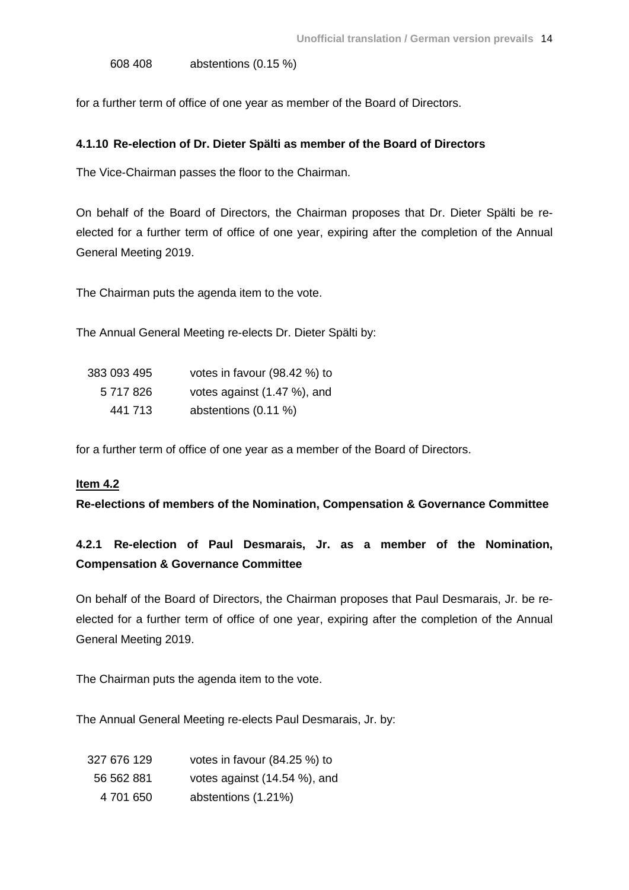608 408 abstentions (0.15 %)

for a further term of office of one year as member of the Board of Directors.

#### **4.1.10 Re-election of Dr. Dieter Spälti as member of the Board of Directors**

The Vice-Chairman passes the floor to the Chairman.

On behalf of the Board of Directors, the Chairman proposes that Dr. Dieter Spälti be reelected for a further term of office of one year, expiring after the completion of the Annual General Meeting 2019.

The Chairman puts the agenda item to the vote.

The Annual General Meeting re-elects Dr. Dieter Spälti by:

| 383 093 495 | votes in favour (98.42 %) to |
|-------------|------------------------------|
| 5 717 826   | votes against (1.47 %), and  |
| 441 713     | abstentions (0.11 %)         |

for a further term of office of one year as a member of the Board of Directors.

#### **Item 4.2**

**Re-elections of members of the Nomination, Compensation & Governance Committee**

# **4.2.1 Re-election of Paul Desmarais, Jr. as a member of the Nomination, Compensation & Governance Committee**

On behalf of the Board of Directors, the Chairman proposes that Paul Desmarais, Jr. be reelected for a further term of office of one year, expiring after the completion of the Annual General Meeting 2019.

The Chairman puts the agenda item to the vote.

The Annual General Meeting re-elects Paul Desmarais, Jr. by:

| 327 676 129 | votes in favour (84.25 %) to |
|-------------|------------------------------|
| 56 562 881  | votes against (14.54 %), and |
| 4 701 650   | abstentions (1.21%)          |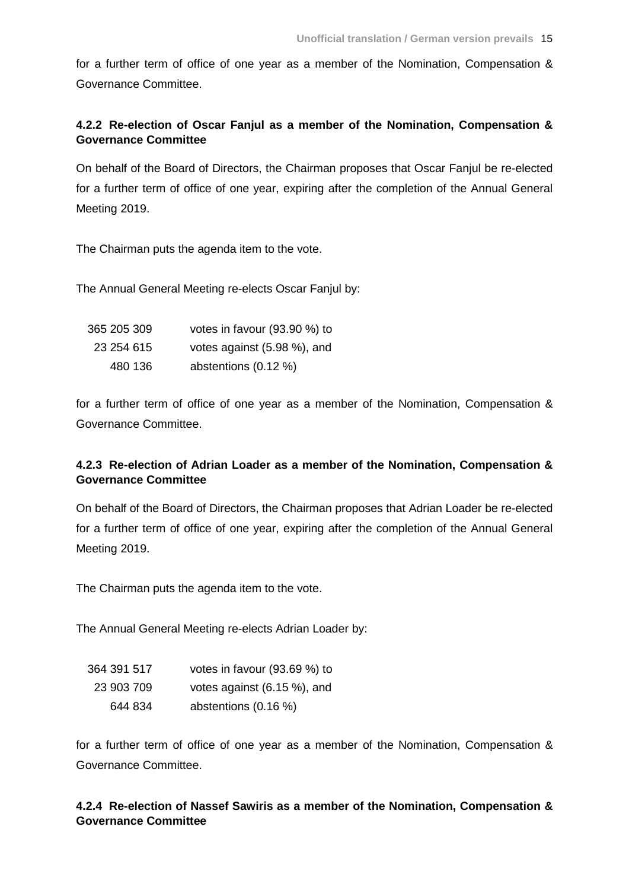for a further term of office of one year as a member of the Nomination, Compensation & Governance Committee.

## **4.2.2 Re-election of Oscar Fanjul as a member of the Nomination, Compensation & Governance Committee**

On behalf of the Board of Directors, the Chairman proposes that Oscar Fanjul be re-elected for a further term of office of one year, expiring after the completion of the Annual General Meeting 2019.

The Chairman puts the agenda item to the vote.

The Annual General Meeting re-elects Oscar Fanjul by:

| 365 205 309 | votes in favour (93.90 %) to |
|-------------|------------------------------|
| 23 254 615  | votes against (5.98 %), and  |
| 480 136     | abstentions $(0.12 \%)$      |

for a further term of office of one year as a member of the Nomination, Compensation & Governance Committee.

## **4.2.3 Re-election of Adrian Loader as a member of the Nomination, Compensation & Governance Committee**

On behalf of the Board of Directors, the Chairman proposes that Adrian Loader be re-elected for a further term of office of one year, expiring after the completion of the Annual General Meeting 2019.

The Chairman puts the agenda item to the vote.

The Annual General Meeting re-elects Adrian Loader by:

| 364 391 517 | votes in favour (93.69 %) to |
|-------------|------------------------------|
| 23 903 709  | votes against (6.15 %), and  |
| 644 834     | abstentions $(0.16\%)$       |

for a further term of office of one year as a member of the Nomination, Compensation & Governance Committee.

### **4.2.4 Re-election of Nassef Sawiris as a member of the Nomination, Compensation & Governance Committee**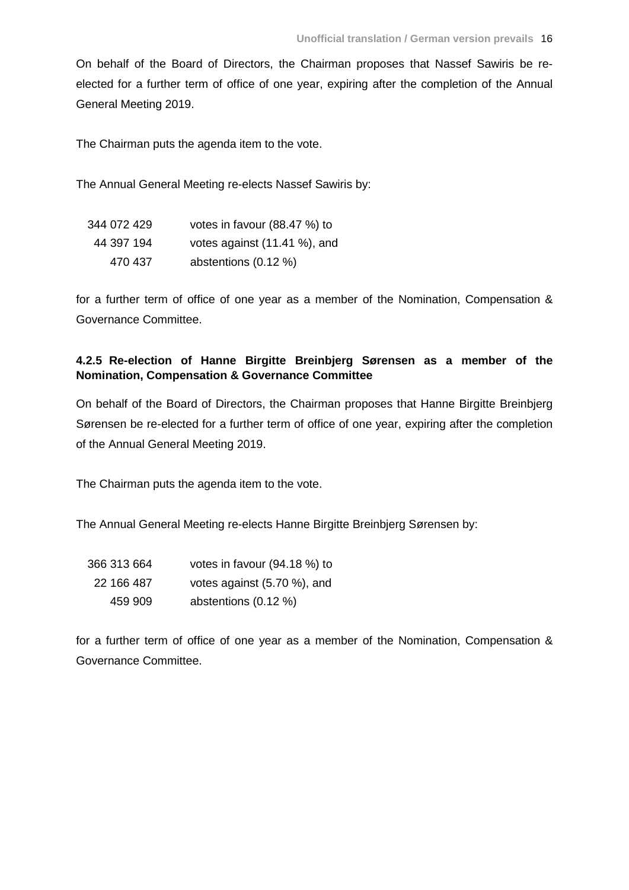On behalf of the Board of Directors, the Chairman proposes that Nassef Sawiris be reelected for a further term of office of one year, expiring after the completion of the Annual General Meeting 2019.

The Chairman puts the agenda item to the vote.

The Annual General Meeting re-elects Nassef Sawiris by:

| 344 072 429 | votes in favour (88.47 %) to |
|-------------|------------------------------|
| 44 397 194  | votes against (11.41 %), and |
| 470 437     | abstentions (0.12 %)         |

for a further term of office of one year as a member of the Nomination, Compensation & Governance Committee.

## **4.2.5 Re-election of Hanne Birgitte Breinbjerg Sørensen as a member of the Nomination, Compensation & Governance Committee**

On behalf of the Board of Directors, the Chairman proposes that Hanne Birgitte Breinbjerg Sørensen be re-elected for a further term of office of one year, expiring after the completion of the Annual General Meeting 2019.

The Chairman puts the agenda item to the vote.

The Annual General Meeting re-elects Hanne Birgitte Breinbjerg Sørensen by:

| 366 313 664 | votes in favour (94.18 %) to |
|-------------|------------------------------|
| 22 166 487  | votes against (5.70 %), and  |
| 459 909     | abstentions $(0.12 \%)$      |

for a further term of office of one year as a member of the Nomination, Compensation & Governance Committee.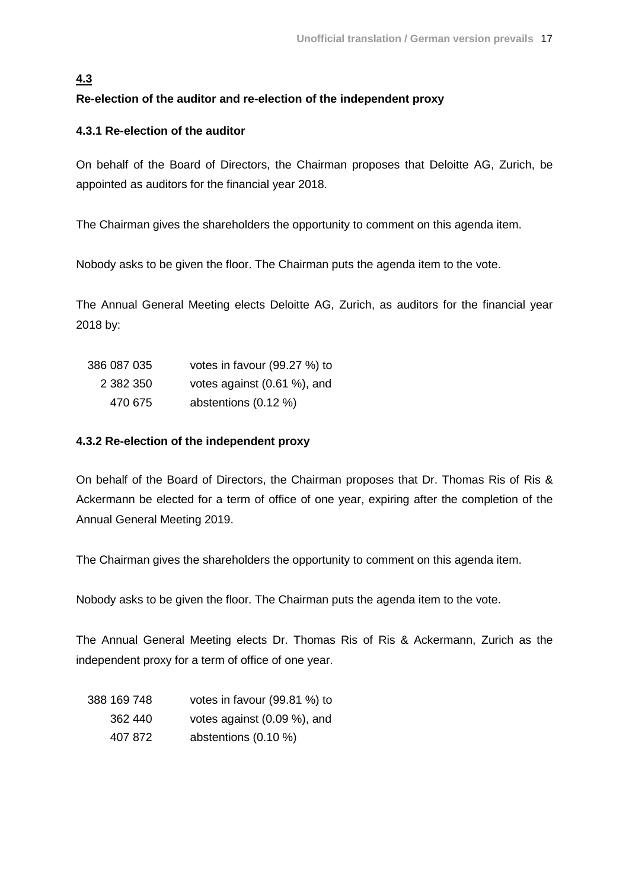## **4.3**

## **Re-election of the auditor and re-election of the independent proxy**

## **4.3.1 Re-election of the auditor**

On behalf of the Board of Directors, the Chairman proposes that Deloitte AG, Zurich, be appointed as auditors for the financial year 2018.

The Chairman gives the shareholders the opportunity to comment on this agenda item.

Nobody asks to be given the floor. The Chairman puts the agenda item to the vote.

The Annual General Meeting elects Deloitte AG, Zurich, as auditors for the financial year 2018 by:

| 386 087 035 | votes in favour (99.27 %) to |
|-------------|------------------------------|
| 2 382 350   | votes against (0.61 %), and  |
| 470 675     | abstentions $(0.12 \%)$      |

## **4.3.2 Re-election of the independent proxy**

On behalf of the Board of Directors, the Chairman proposes that Dr. Thomas Ris of Ris & Ackermann be elected for a term of office of one year, expiring after the completion of the Annual General Meeting 2019.

The Chairman gives the shareholders the opportunity to comment on this agenda item.

Nobody asks to be given the floor. The Chairman puts the agenda item to the vote.

The Annual General Meeting elects Dr. Thomas Ris of Ris & Ackermann, Zurich as the independent proxy for a term of office of one year.

| 388 169 748 | votes in favour (99.81 %) to |
|-------------|------------------------------|
| 362 440     | votes against (0.09 %), and  |
| 407 872     | abstentions $(0.10 \%)$      |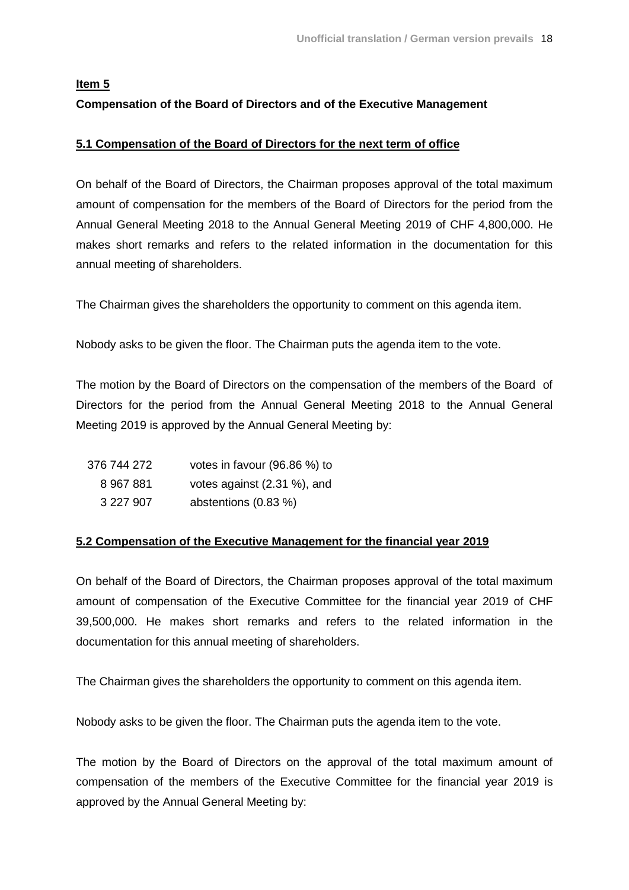# **Item 5 Compensation of the Board of Directors and of the Executive Management**

### **5.1 Compensation of the Board of Directors for the next term of office**

On behalf of the Board of Directors, the Chairman proposes approval of the total maximum amount of compensation for the members of the Board of Directors for the period from the Annual General Meeting 2018 to the Annual General Meeting 2019 of CHF 4,800,000. He makes short remarks and refers to the related information in the documentation for this annual meeting of shareholders.

The Chairman gives the shareholders the opportunity to comment on this agenda item.

Nobody asks to be given the floor. The Chairman puts the agenda item to the vote.

The motion by the Board of Directors on the compensation of the members of the Board of Directors for the period from the Annual General Meeting 2018 to the Annual General Meeting 2019 is approved by the Annual General Meeting by:

| 376 744 272 | votes in favour (96.86 %) to |
|-------------|------------------------------|
| 8 967 881   | votes against (2.31 %), and  |
| 3 227 907   | abstentions (0.83 %)         |

### **5.2 Compensation of the Executive Management for the financial year 2019**

On behalf of the Board of Directors, the Chairman proposes approval of the total maximum amount of compensation of the Executive Committee for the financial year 2019 of CHF 39,500,000. He makes short remarks and refers to the related information in the documentation for this annual meeting of shareholders.

The Chairman gives the shareholders the opportunity to comment on this agenda item.

Nobody asks to be given the floor. The Chairman puts the agenda item to the vote.

The motion by the Board of Directors on the approval of the total maximum amount of compensation of the members of the Executive Committee for the financial year 2019 is approved by the Annual General Meeting by: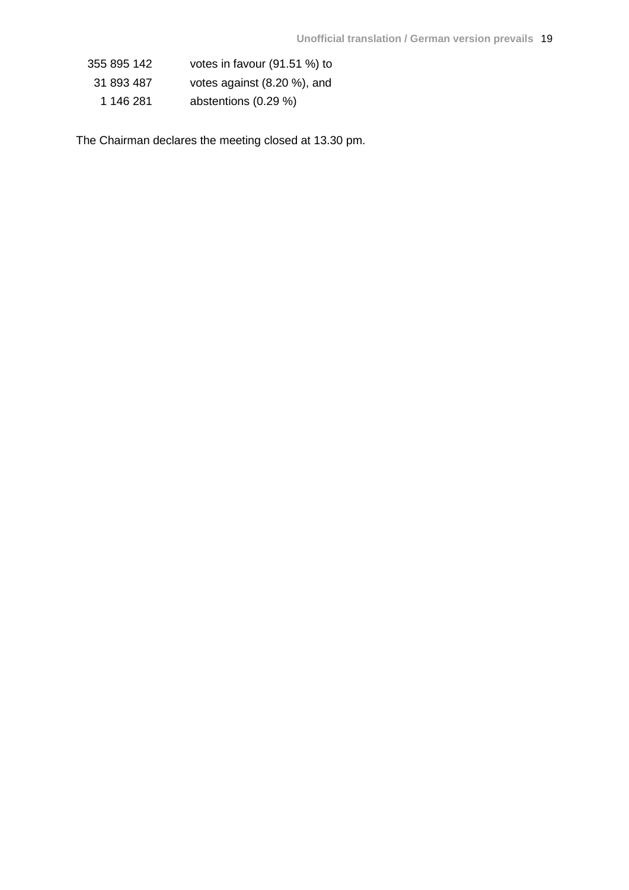| 355 895 142 | votes in favour (91.51 %) to |
|-------------|------------------------------|
| 31 893 487  | votes against (8.20 %), and  |
| 1 146 281   | abstentions (0.29 %)         |

The Chairman declares the meeting closed at 13.30 pm.